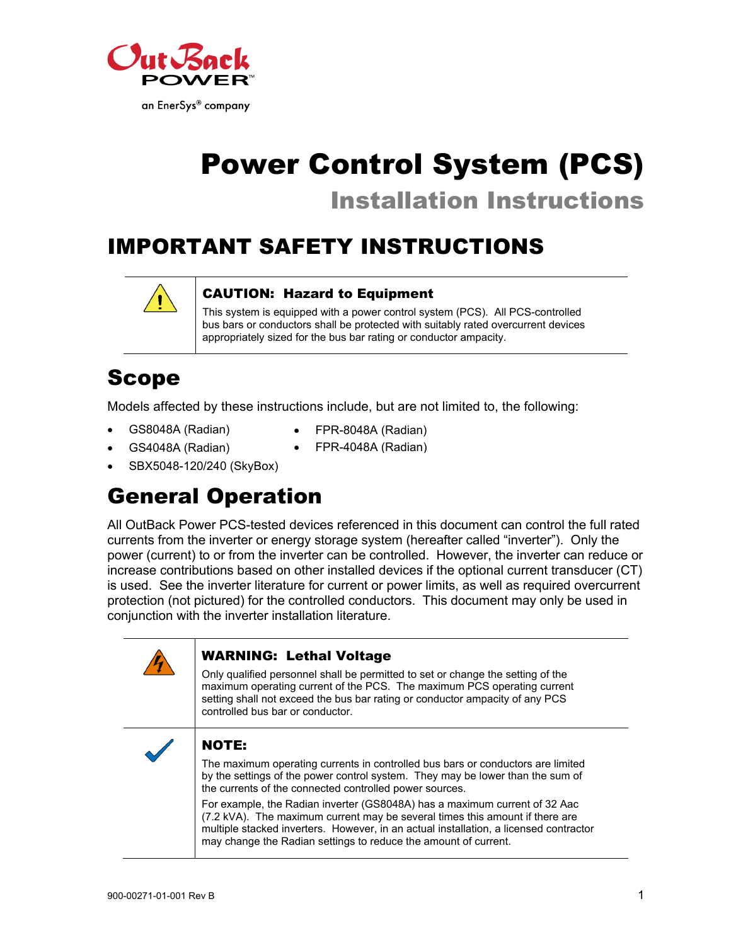

# Power Control System (PCS) Installation Instructions

# IMPORTANT SAFETY INSTRUCTIONS



#### CAUTION: Hazard to Equipment

This system is equipped with a power control system (PCS). All PCS-controlled bus bars or conductors shall be protected with suitably rated overcurrent devices appropriately sized for the bus bar rating or conductor ampacity.

## Scope

Models affected by these instructions include, but are not limited to, the following:

- GS8048A (Radian)
- FPR-8048A (Radian)
- GS4048A (Radian)
- FPR-4048A (Radian)
- SBX5048-120/240 (SkyBox)

# General Operation

All OutBack Power PCS-tested devices referenced in this document can control the full rated currents from the inverter or energy storage system (hereafter called "inverter"). Only the power (current) to or from the inverter can be controlled. However, the inverter can reduce or increase contributions based on other installed devices if the optional current transducer (CT) is used. See the inverter literature for current or power limits, as well as required overcurrent protection (not pictured) for the controlled conductors. This document may only be used in conjunction with the inverter installation literature.

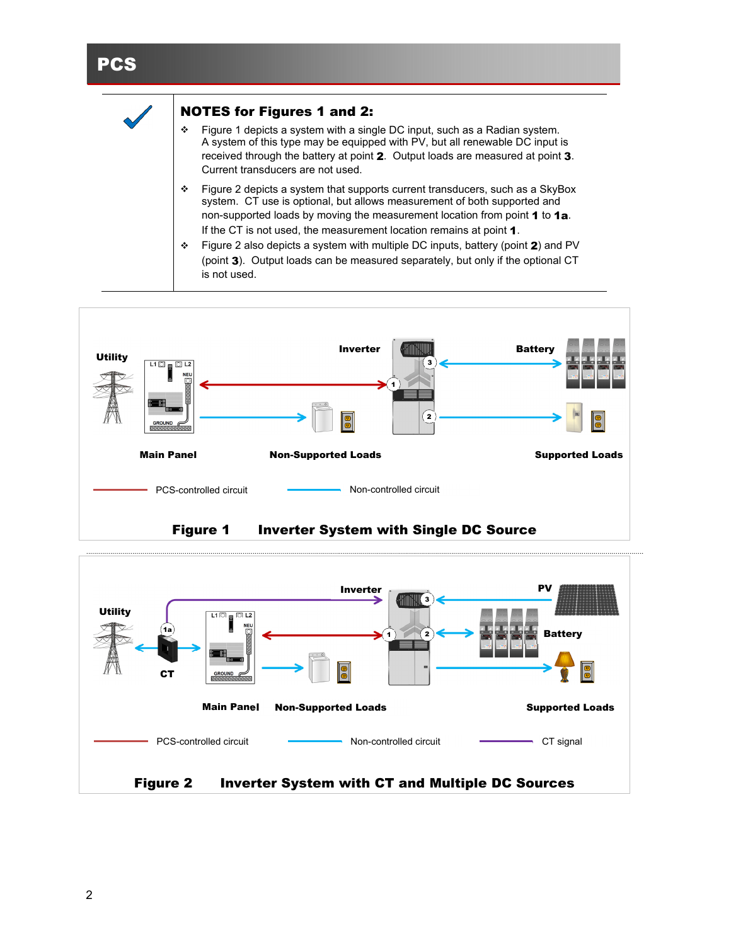#### **PCS**



#### NOTES for Figures 1 and 2:

- Figure 1 depicts a system with a single DC input, such as a Radian system. A system of this type may be equipped with PV, but all renewable DC input is received through the battery at point 2. Output loads are measured at point 3. Current transducers are not used.
- Figure 2 depicts a system that supports current transducers, such as a SkyBox system. CT use is optional, but allows measurement of both supported and non-supported loads by moving the measurement location from point 1 to 1a. If the CT is not used, the measurement location remains at point 1.
- Figure 2 also depicts a system with multiple DC inputs, battery (point 2) and PV (point 3). Output loads can be measured separately, but only if the optional CT is not used.



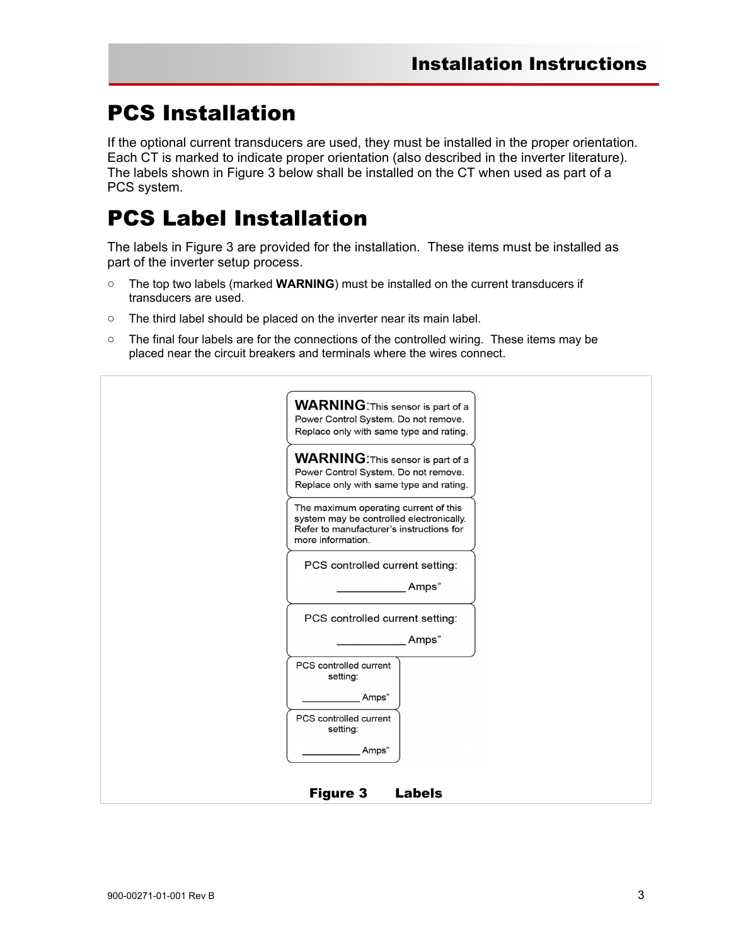## PCS Installation

If the optional current transducers are used, they must be installed in the proper orientation. Each CT is marked to indicate proper orientation (also described in the inverter literature). The labels shown in Figure 3 below shall be installed on the CT when used as part of a PCS system.

### PCS Label Installation

The labels in Figure 3 are provided for the installation. These items must be installed as part of the inverter setup process.

- o The top two labels (marked **WARNING**) must be installed on the current transducers if transducers are used.
- o The third label should be placed on the inverter near its main label.
- $\circ$  The final four labels are for the connections of the controlled wiring. These items may be placed near the circuit breakers and terminals where the wires connect.

| <b>WARNING:</b> This sensor is part of a                                                                                                           |  |
|----------------------------------------------------------------------------------------------------------------------------------------------------|--|
| Power Control System. Do not remove.                                                                                                               |  |
| Replace only with same type and rating.                                                                                                            |  |
| <b>WARNING:</b> This sensor is part of a                                                                                                           |  |
| Power Control System. Do not remove.<br>Replace only with same type and rating.                                                                    |  |
| The maximum operating current of this<br>system may be controlled electronically.<br>Refer to manufacturer's instructions for<br>more information. |  |
| PCS controlled current setting:                                                                                                                    |  |
| Amps"                                                                                                                                              |  |
| PCS controlled current setting:                                                                                                                    |  |
| Amps"                                                                                                                                              |  |
| PCS controlled current<br>setting:                                                                                                                 |  |
| Amps"                                                                                                                                              |  |
| PCS controlled current<br>setting:                                                                                                                 |  |
| Amps"                                                                                                                                              |  |